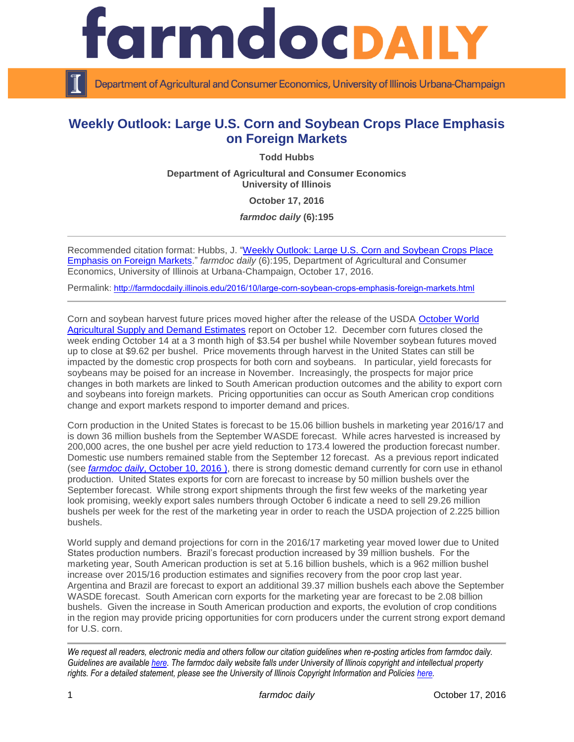

Department of Agricultural and Consumer Economics, University of Illinois Urbana-Champaign

## **Weekly Outlook: Large U.S. Corn and Soybean Crops Place Emphasis on Foreign Markets**

**Todd Hubbs**

**Department of Agricultural and Consumer Economics University of Illinois**

**October 17, 2016**

*farmdoc daily* **(6):195**

Recommended citation format: Hubbs, J. ["Weekly Outlook: Large U.S. Corn and Soybean Crops Place](http://farmdocdaily.illinois.edu/2016/10/large-corn-soybean-crops-emphasis-foreign-markets.html)  [Emphasis on Foreign Markets.](http://farmdocdaily.illinois.edu/2016/10/large-corn-soybean-crops-emphasis-foreign-markets.html)" *farmdoc daily* (6):195, Department of Agricultural and Consumer Economics, University of Illinois at Urbana-Champaign, October 17, 2016.

Permalink: <http://farmdocdaily.illinois.edu/2016/10/large-corn-soybean-crops-emphasis-foreign-markets.html>

Corn and soybean harvest future prices moved higher after the release of the USDA [October World](http://www.usda.gov/oce/commodity/wasde/latest.pdf)  [Agricultural Supply and Demand Estimates](http://www.usda.gov/oce/commodity/wasde/latest.pdf) report on October 12. December corn futures closed the week ending October 14 at a 3 month high of \$3.54 per bushel while November soybean futures moved up to close at \$9.62 per bushel. Price movements through harvest in the United States can still be impacted by the domestic crop prospects for both corn and soybeans. In particular, yield forecasts for soybeans may be poised for an increase in November. Increasingly, the prospects for major price changes in both markets are linked to South American production outcomes and the ability to export corn and soybeans into foreign markets. Pricing opportunities can occur as South American crop conditions change and export markets respond to importer demand and prices.

Corn production in the United States is forecast to be 15.06 billion bushels in marketing year 2016/17 and is down 36 million bushels from the September WASDE forecast. While acres harvested is increased by 200,000 acres, the one bushel per acre yield reduction to 173.4 lowered the production forecast number. Domestic use numbers remained stable from the September 12 forecast. As a previous report indicated (see *[farmdo](http://farmdocdaily.illinois.edu/2016/10/prospects-corn-ethanol-production.html)c daily*, October 10, 2016 ), there is strong domestic demand currently for corn use in ethanol production. United States exports for corn are forecast to increase by 50 million bushels over the September forecast. While strong export shipments through the first few weeks of the marketing year look promising, weekly export sales numbers through October 6 indicate a need to sell 29.26 million bushels per week for the rest of the marketing year in order to reach the USDA projection of 2.225 billion bushels.

World supply and demand projections for corn in the 2016/17 marketing year moved lower due to United States production numbers. Brazil's forecast production increased by 39 million bushels. For the marketing year, South American production is set at 5.16 billion bushels, which is a 962 million bushel increase over 2015/16 production estimates and signifies recovery from the poor crop last year. Argentina and Brazil are forecast to export an additional 39.37 million bushels each above the September WASDE forecast. South American corn exports for the marketing year are forecast to be 2.08 billion bushels. Given the increase in South American production and exports, the evolution of crop conditions in the region may provide pricing opportunities for corn producers under the current strong export demand for U.S. corn.

*We request all readers, electronic media and others follow our citation guidelines when re-posting articles from farmdoc daily. Guidelines are available [here.](http://farmdocdaily.illinois.edu/citationguide.html) The farmdoc daily website falls under University of Illinois copyright and intellectual property rights. For a detailed statement, please see the University of Illinois Copyright Information and Policies [here.](http://www.cio.illinois.edu/policies/copyright/)*